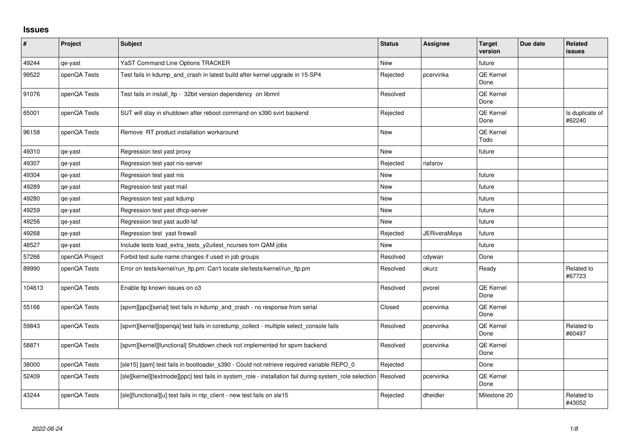## **Issues**

| $\sharp$ | Project        | <b>Subject</b>                                                                                          | <b>Status</b> | <b>Assignee</b>     | <b>Target</b><br>version | Due date | <b>Related</b><br>issues  |
|----------|----------------|---------------------------------------------------------------------------------------------------------|---------------|---------------------|--------------------------|----------|---------------------------|
| 49244    | qe-yast        | YaST Command Line Options TRACKER                                                                       | <b>New</b>    |                     | future                   |          |                           |
| 99522    | openQA Tests   | Test fails in kdump_and_crash in latest build after kernel upgrade in 15-SP4                            | Rejected      | pcervinka           | QE Kernel<br>Done        |          |                           |
| 91076    | openQA Tests   | Test fails in install Itp - 32bit version dependency on libmnl                                          | Resolved      |                     | QE Kernel<br>Done        |          |                           |
| 65001    | openQA Tests   | SUT will stay in shutdown after reboot command on s390 svirt backend                                    | Rejected      |                     | <b>QE Kernel</b><br>Done |          | Is duplicate of<br>#62240 |
| 96158    | openQA Tests   | Remove RT product installation workaround                                                               | New           |                     | QE Kernel<br>Todo        |          |                           |
| 49310    | qe-yast        | Regression test yast proxy                                                                              | <b>New</b>    |                     | future                   |          |                           |
| 49307    | qe-yast        | Regression test yast nis-server                                                                         | Rejected      | riafarov            |                          |          |                           |
| 49304    | qe-yast        | Regression test yast nis                                                                                | <b>New</b>    |                     | future                   |          |                           |
| 49289    | qe-yast        | Regression test yast mail                                                                               | New           |                     | future                   |          |                           |
| 49280    | qe-yast        | Regression test yast kdump                                                                              | <b>New</b>    |                     | future                   |          |                           |
| 49259    | qe-yast        | Regression test yast dhcp-server                                                                        | <b>New</b>    |                     | future                   |          |                           |
| 49256    | qe-yast        | Regression test yast audit-laf                                                                          | New           |                     | future                   |          |                           |
| 49268    | qe-yast        | Regression test yast firewall                                                                           | Rejected      | <b>JERiveraMoya</b> | future                   |          |                           |
| 48527    | qe-yast        | Include tests load_extra_tests_y2uitest_ncurses tom QAM jobs                                            | <b>New</b>    |                     | future                   |          |                           |
| 57266    | openQA Project | Forbid test suite name changes if used in job groups                                                    | Resolved      | cdywan              | Done                     |          |                           |
| 89990    | openQA Tests   | Error on tests/kernel/run_ltp.pm: Can't locate sle/tests/kernel/run_ltp.pm                              | Resolved      | okurz               | Ready                    |          | Related to<br>#67723      |
| 104613   | openQA Tests   | Enable Itp known issues on o3                                                                           | Resolved      | pvorel              | QE Kernel<br>Done        |          |                           |
| 55166    | openQA Tests   | [spvm][ppc][serial] test fails in kdump and crash - no response from serial                             | Closed        | pcervinka           | <b>QE Kernel</b><br>Done |          |                           |
| 59843    | openQA Tests   | [spvm][kernel][openqa] test fails in coredump_collect - multiple select_console fails                   | Resolved      | pcervinka           | QE Kernel<br>Done        |          | Related to<br>#60497      |
| 58871    | openQA Tests   | [spvm][kernel][functional] Shutdown check not implemented for spvm backend                              | Resolved      | pcervinka           | QE Kernel<br>Done        |          |                           |
| 38000    | openQA Tests   | [sle15] [qam] test fails in bootloader_s390 - Could not retrieve required variable REPO_0               | Rejected      |                     | Done                     |          |                           |
| 52409    | openQA Tests   | [sle][kernel][textmode][ppc] test fails in system role - installation fail during system role selection | Resolved      | pcervinka           | QE Kernel<br>Done        |          |                           |
| 43244    | openQA Tests   | [sle][functional][u] test fails in ntp_client - new test fails on sle15                                 | Rejected      | dheidler            | Milestone 20             |          | Related to<br>#43052      |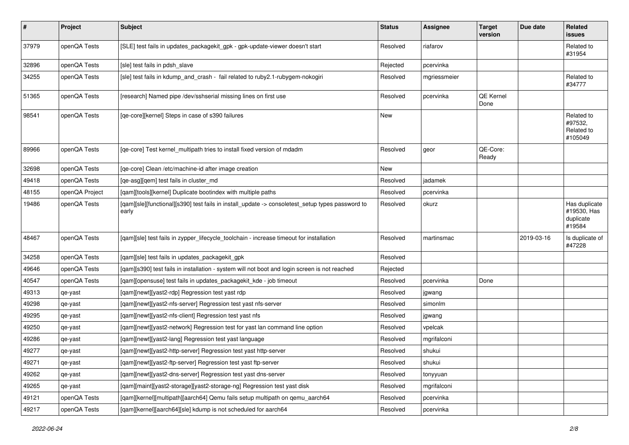| $\sharp$ | Project        | <b>Subject</b>                                                                                            | <b>Status</b> | Assignee     | <b>Target</b><br>version | Due date   | Related<br>issues                                   |
|----------|----------------|-----------------------------------------------------------------------------------------------------------|---------------|--------------|--------------------------|------------|-----------------------------------------------------|
| 37979    | openQA Tests   | [SLE] test fails in updates_packagekit_gpk - gpk-update-viewer doesn't start                              | Resolved      | riafarov     |                          |            | Related to<br>#31954                                |
| 32896    | openQA Tests   | [sle] test fails in pdsh slave                                                                            | Rejected      | pcervinka    |                          |            |                                                     |
| 34255    | openQA Tests   | [sle] test fails in kdump_and_crash - fail related to ruby2.1-rubygem-nokogiri                            | Resolved      | mgriessmeier |                          |            | Related to<br>#34777                                |
| 51365    | openQA Tests   | [research] Named pipe /dev/sshserial missing lines on first use                                           | Resolved      | pcervinka    | QE Kernel<br>Done        |            |                                                     |
| 98541    | openQA Tests   | [qe-core][kernel] Steps in case of s390 failures                                                          | <b>New</b>    |              |                          |            | Related to<br>#97532,<br>Related to<br>#105049      |
| 89966    | openQA Tests   | [qe-core] Test kernel_multipath tries to install fixed version of mdadm                                   | Resolved      | geor         | QE-Core:<br>Ready        |            |                                                     |
| 32698    | openQA Tests   | [qe-core] Clean /etc/machine-id after image creation                                                      | New           |              |                          |            |                                                     |
| 49418    | openQA Tests   | [qe-asg][qem] test fails in cluster_md                                                                    | Resolved      | jadamek      |                          |            |                                                     |
| 48155    | openQA Project | [qam][tools][kernel] Duplicate bootindex with multiple paths                                              | Resolved      | pcervinka    |                          |            |                                                     |
| 19486    | openQA Tests   | [qam][sle][functional][s390] test fails in install_update -> consoletest_setup types password to<br>early | Resolved      | okurz        |                          |            | Has duplicate<br>#19530, Has<br>duplicate<br>#19584 |
| 48467    | openQA Tests   | [qam][sle] test fails in zypper_lifecycle_toolchain - increase timeout for installation                   | Resolved      | martinsmac   |                          | 2019-03-16 | Is duplicate of<br>#47228                           |
| 34258    | openQA Tests   | [qam][sle] test fails in updates_packagekit_gpk                                                           | Resolved      |              |                          |            |                                                     |
| 49646    | openQA Tests   | [qam][s390] test fails in installation - system will not boot and login screen is not reached             | Rejected      |              |                          |            |                                                     |
| 40547    | openQA Tests   | [qam][opensuse] test fails in updates_packagekit_kde - job timeout                                        | Resolved      | pcervinka    | Done                     |            |                                                     |
| 49313    | qe-yast        | [qam][newt][yast2-rdp] Regression test yast rdp                                                           | Resolved      | jgwang       |                          |            |                                                     |
| 49298    | qe-yast        | [qam][newt][yast2-nfs-server] Regression test yast nfs-server                                             | Resolved      | simonlm      |                          |            |                                                     |
| 49295    | qe-yast        | [qam][newt][yast2-nfs-client] Regression test yast nfs                                                    | Resolved      | jgwang       |                          |            |                                                     |
| 49250    | qe-yast        | [qam][newt][yast2-network] Regression test for yast lan command line option                               | Resolved      | vpelcak      |                          |            |                                                     |
| 49286    | qe-yast        | [qam][newt][yast2-lang] Regression test yast language                                                     | Resolved      | mgrifalconi  |                          |            |                                                     |
| 49277    | qe-yast        | [qam][newt][yast2-http-server] Regression test yast http-server                                           | Resolved      | shukui       |                          |            |                                                     |
| 49271    | qe-yast        | [qam][newt][yast2-ftp-server] Regression test yast ftp-server                                             | Resolved      | shukui       |                          |            |                                                     |
| 49262    | qe-yast        | [gam][newt][yast2-dns-server] Regression test yast dns-server                                             | Resolved      | tonyyuan     |                          |            |                                                     |
| 49265    | qe-yast        | [qam][maint][yast2-storage][yast2-storage-ng] Regression test yast disk                                   | Resolved      | mgrifalconi  |                          |            |                                                     |
| 49121    | openQA Tests   | [qam][kernel][multipath][aarch64] Qemu fails setup multipath on qemu_aarch64                              | Resolved      | pcervinka    |                          |            |                                                     |
| 49217    | openQA Tests   | [qam][kernel][aarch64][sle] kdump is not scheduled for aarch64                                            | Resolved      | pcervinka    |                          |            |                                                     |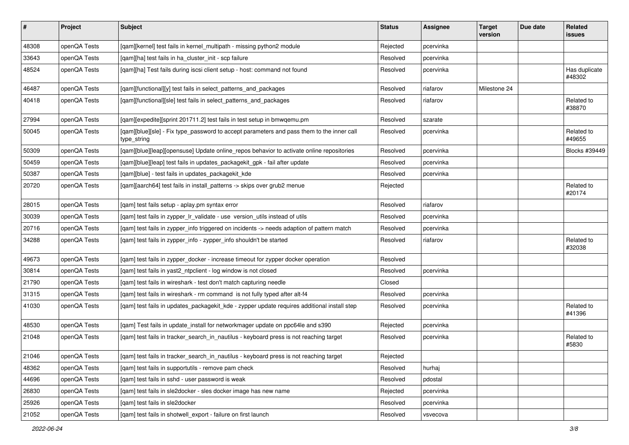| $\vert$ # | Project      | Subject                                                                                                  | <b>Status</b> | Assignee  | <b>Target</b><br>version | Due date | Related<br><b>issues</b> |
|-----------|--------------|----------------------------------------------------------------------------------------------------------|---------------|-----------|--------------------------|----------|--------------------------|
| 48308     | openQA Tests | [qam][kernel] test fails in kernel_multipath - missing python2 module                                    | Rejected      | pcervinka |                          |          |                          |
| 33643     | openQA Tests | [gam][ha] test fails in ha cluster init - scp failure                                                    | Resolved      | pcervinka |                          |          |                          |
| 48524     | openQA Tests | [qam][ha] Test fails during iscsi client setup - host: command not found                                 | Resolved      | pcervinka |                          |          | Has duplicate<br>#48302  |
| 46487     | openQA Tests | [qam][functional][y] test fails in select_patterns_and_packages                                          | Resolved      | riafarov  | Milestone 24             |          |                          |
| 40418     | openQA Tests | [qam][functional][sle] test fails in select_patterns_and_packages                                        | Resolved      | riafarov  |                          |          | Related to<br>#38870     |
| 27994     | openQA Tests | [qam][expedite][sprint 201711.2] test fails in test setup in bmwqemu.pm                                  | Resolved      | szarate   |                          |          |                          |
| 50045     | openQA Tests | [qam][blue][sle] - Fix type_password to accept parameters and pass them to the inner call<br>type_string | Resolved      | pcervinka |                          |          | Related to<br>#49655     |
| 50309     | openQA Tests | [qam][blue][leap][opensuse] Update online_repos behavior to activate online repositories                 | Resolved      | pcervinka |                          |          | Blocks #39449            |
| 50459     | openQA Tests | [qam][blue][leap] test fails in updates_packagekit_gpk - fail after update                               | Resolved      | pcervinka |                          |          |                          |
| 50387     | openQA Tests | [qam][blue] - test fails in updates_packagekit_kde                                                       | Resolved      | pcervinka |                          |          |                          |
| 20720     | openQA Tests | [qam][aarch64] test fails in install_patterns -> skips over grub2 menue                                  | Rejected      |           |                          |          | Related to<br>#20174     |
| 28015     | openQA Tests | [qam] test fails setup - aplay.pm syntax error                                                           | Resolved      | riafarov  |                          |          |                          |
| 30039     | openQA Tests | [qam] test fails in zypper_lr_validate - use version_utils instead of utils                              | Resolved      | pcervinka |                          |          |                          |
| 20716     | openQA Tests | [qam] test fails in zypper_info triggered on incidents -> needs adaption of pattern match                | Resolved      | pcervinka |                          |          |                          |
| 34288     | openQA Tests | [qam] test fails in zypper_info - zypper_info shouldn't be started                                       | Resolved      | riafarov  |                          |          | Related to<br>#32038     |
| 49673     | openQA Tests | [gam] test fails in zypper docker - increase timeout for zypper docker operation                         | Resolved      |           |                          |          |                          |
| 30814     | openQA Tests | [qam] test fails in yast2_ntpclient - log window is not closed                                           | Resolved      | pcervinka |                          |          |                          |
| 21790     | openQA Tests | [qam] test fails in wireshark - test don't match capturing needle                                        | Closed        |           |                          |          |                          |
| 31315     | openQA Tests | [qam] test fails in wireshark - rm command is not fully typed after alt-f4                               | Resolved      | pcervinka |                          |          |                          |
| 41030     | openQA Tests | [qam] test fails in updates_packagekit_kde - zypper update requires additional install step              | Resolved      | pcervinka |                          |          | Related to<br>#41396     |
| 48530     | openQA Tests | [qam] Test fails in update_install for networkmager update on ppc64le and s390                           | Rejected      | pcervinka |                          |          |                          |
| 21048     | openQA Tests | [qam] test fails in tracker_search_in_nautilus - keyboard press is not reaching target                   | Resolved      | pcervinka |                          |          | Related to<br>#5830      |
| 21046     | openQA Tests | [qam] test fails in tracker_search_in_nautilus - keyboard press is not reaching target                   | Rejected      |           |                          |          |                          |
| 48362     | openQA Tests | [qam] test fails in supportutils - remove pam check                                                      | Resolved      | hurhaj    |                          |          |                          |
| 44696     | openQA Tests | [qam] test fails in sshd - user password is weak                                                         | Resolved      | pdostal   |                          |          |                          |
| 26830     | openQA Tests | [qam] test fails in sle2docker - sles docker image has new name                                          | Rejected      | pcervinka |                          |          |                          |
| 25926     | openQA Tests | [gam] test fails in sle2docker                                                                           | Resolved      | pcervinka |                          |          |                          |
| 21052     | openQA Tests | [qam] test fails in shotwell_export - failure on first launch                                            | Resolved      | vsvecova  |                          |          |                          |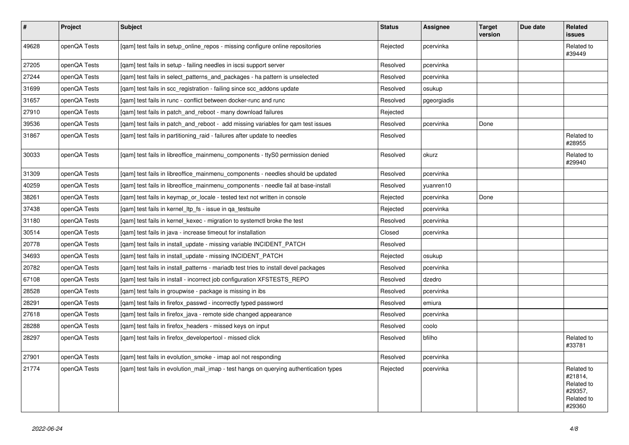| $\sharp$ | Project      | <b>Subject</b>                                                                        | <b>Status</b> | Assignee    | <b>Target</b><br>version | Due date | Related<br>issues                                                      |
|----------|--------------|---------------------------------------------------------------------------------------|---------------|-------------|--------------------------|----------|------------------------------------------------------------------------|
| 49628    | openQA Tests | [qam] test fails in setup_online_repos - missing configure online repositories        | Rejected      | pcervinka   |                          |          | Related to<br>#39449                                                   |
| 27205    | openQA Tests | [gam] test fails in setup - failing needles in iscsi support server                   | Resolved      | pcervinka   |                          |          |                                                                        |
| 27244    | openQA Tests | [gam] test fails in select patterns and packages - ha pattern is unselected           | Resolved      | pcervinka   |                          |          |                                                                        |
| 31699    | openQA Tests | [gam] test fails in scc registration - failing since scc addons update                | Resolved      | osukup      |                          |          |                                                                        |
| 31657    | openQA Tests | [gam] test fails in runc - conflict between docker-runc and runc                      | Resolved      | pgeorgiadis |                          |          |                                                                        |
| 27910    | openQA Tests | [gam] test fails in patch and reboot - many download failures                         | Rejected      |             |                          |          |                                                                        |
| 39536    | openQA Tests | [gam] test fails in patch and reboot - add missing variables for gam test issues      | Resolved      | pcervinka   | Done                     |          |                                                                        |
| 31867    | openQA Tests | [gam] test fails in partitioning raid - failures after update to needles              | Resolved      |             |                          |          | Related to<br>#28955                                                   |
| 30033    | openQA Tests | [qam] test fails in libreoffice_mainmenu_components - ttyS0 permission denied         | Resolved      | okurz       |                          |          | Related to<br>#29940                                                   |
| 31309    | openQA Tests | [gam] test fails in libreoffice mainmenu components - needles should be updated       | Resolved      | pcervinka   |                          |          |                                                                        |
| 40259    | openQA Tests | [gam] test fails in libreoffice mainmenu components - needle fail at base-install     | Resolved      | yuanren10   |                          |          |                                                                        |
| 38261    | openQA Tests | [qam] test fails in keymap_or_locale - tested text not written in console             | Rejected      | pcervinka   | Done                     |          |                                                                        |
| 37438    | openQA Tests | [gam] test fails in kernel Itp fs - issue in ga testsuite                             | Rejected      | pcervinka   |                          |          |                                                                        |
| 31180    | openQA Tests | [gam] test fails in kernel kexec - migration to systemctl broke the test              | Resolved      | pcervinka   |                          |          |                                                                        |
| 30514    | openQA Tests | [gam] test fails in java - increase timeout for installation                          | Closed        | pcervinka   |                          |          |                                                                        |
| 20778    | openQA Tests | [qam] test fails in install_update - missing variable INCIDENT_PATCH                  | Resolved      |             |                          |          |                                                                        |
| 34693    | openQA Tests | [qam] test fails in install_update - missing INCIDENT_PATCH                           | Rejected      | osukup      |                          |          |                                                                        |
| 20782    | openQA Tests | [gam] test fails in install patterns - mariadb test tries to install devel packages   | Resolved      | pcervinka   |                          |          |                                                                        |
| 67108    | openQA Tests | [gam] test fails in install - incorrect job configuration XFSTESTS REPO               | Resolved      | dzedro      |                          |          |                                                                        |
| 28528    | openQA Tests | [gam] test fails in groupwise - package is missing in ibs                             | Resolved      | pcervinka   |                          |          |                                                                        |
| 28291    | openQA Tests | [gam] test fails in firefox passwd - incorrectly typed password                       | Resolved      | emiura      |                          |          |                                                                        |
| 27618    | openQA Tests | [gam] test fails in firefox_java - remote side changed appearance                     | Resolved      | pcervinka   |                          |          |                                                                        |
| 28288    | openQA Tests | [gam] test fails in firefox headers - missed keys on input                            | Resolved      | coolo       |                          |          |                                                                        |
| 28297    | openQA Tests | [gam] test fails in firefox developertool - missed click                              | Resolved      | bfilho      |                          |          | Related to<br>#33781                                                   |
| 27901    | openQA Tests | [qam] test fails in evolution_smoke - imap aol not responding                         | Resolved      | pcervinka   |                          |          |                                                                        |
| 21774    | openQA Tests | [gam] test fails in evolution mail imap - test hangs on querying authentication types | Rejected      | pcervinka   |                          |          | Related to<br>#21814,<br>Related to<br>#29357,<br>Related to<br>#29360 |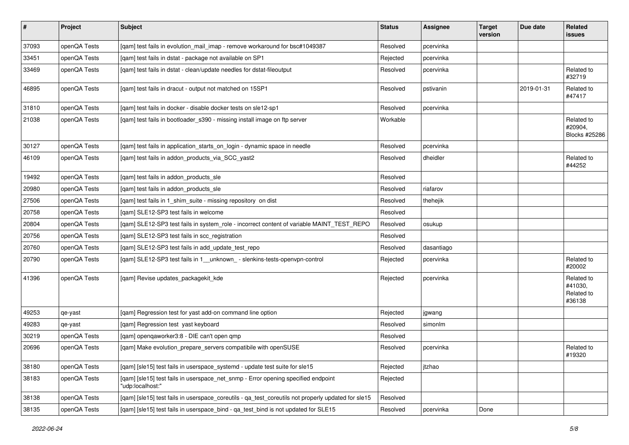| $\sharp$ | Project      | <b>Subject</b>                                                                                        | <b>Status</b> | Assignee   | <b>Target</b><br>version | Due date   | Related<br>issues                             |
|----------|--------------|-------------------------------------------------------------------------------------------------------|---------------|------------|--------------------------|------------|-----------------------------------------------|
| 37093    | openQA Tests | [gam] test fails in evolution mail imap - remove workaround for bsc#1049387                           | Resolved      | pcervinka  |                          |            |                                               |
| 33451    | openQA Tests | [qam] test fails in dstat - package not available on SP1                                              | Rejected      | pcervinka  |                          |            |                                               |
| 33469    | openQA Tests | [qam] test fails in dstat - clean/update needles for dstat-fileoutput                                 | Resolved      | pcervinka  |                          |            | Related to<br>#32719                          |
| 46895    | openQA Tests | [qam] test fails in dracut - output not matched on 15SP1                                              | Resolved      | pstivanin  |                          | 2019-01-31 | Related to<br>#47417                          |
| 31810    | openQA Tests | [qam] test fails in docker - disable docker tests on sle12-sp1                                        | Resolved      | pcervinka  |                          |            |                                               |
| 21038    | openQA Tests | [qam] test fails in bootloader_s390 - missing install image on ftp server                             | Workable      |            |                          |            | Related to<br>#20904,<br>Blocks #25286        |
| 30127    | openQA Tests | [qam] test fails in application_starts_on_login - dynamic space in needle                             | Resolved      | pcervinka  |                          |            |                                               |
| 46109    | openQA Tests | [qam] test fails in addon_products_via_SCC_yast2                                                      | Resolved      | dheidler   |                          |            | Related to<br>#44252                          |
| 19492    | openQA Tests | [qam] test fails in addon_products_sle                                                                | Resolved      |            |                          |            |                                               |
| 20980    | openQA Tests | [gam] test fails in addon products sle                                                                | Resolved      | riafarov   |                          |            |                                               |
| 27506    | openQA Tests | [gam] test fails in 1 shim suite - missing repository on dist                                         | Resolved      | thehejik   |                          |            |                                               |
| 20758    | openQA Tests | [qam] SLE12-SP3 test fails in welcome                                                                 | Resolved      |            |                          |            |                                               |
| 20804    | openQA Tests | [qam] SLE12-SP3 test fails in system_role - incorrect content of variable MAINT_TEST_REPO             | Resolved      | osukup     |                          |            |                                               |
| 20756    | openQA Tests | [qam] SLE12-SP3 test fails in scc_registration                                                        | Resolved      |            |                          |            |                                               |
| 20760    | openQA Tests | [qam] SLE12-SP3 test fails in add_update_test_repo                                                    | Resolved      | dasantiago |                          |            |                                               |
| 20790    | openQA Tests | [qam] SLE12-SP3 test fails in 1_unknown_ - slenkins-tests-openvpn-control                             | Rejected      | pcervinka  |                          |            | Related to<br>#20002                          |
| 41396    | openQA Tests | [qam] Revise updates_packagekit_kde                                                                   | Rejected      | pcervinka  |                          |            | Related to<br>#41030,<br>Related to<br>#36138 |
| 49253    | qe-yast      | [qam] Regression test for yast add-on command line option                                             | Rejected      | jgwang     |                          |            |                                               |
| 49283    | qe-yast      | [qam] Regression test yast keyboard                                                                   | Resolved      | simonlm    |                          |            |                                               |
| 30219    | openQA Tests | [qam] openqaworker3:8 - DIE can't open qmp                                                            | Resolved      |            |                          |            |                                               |
| 20696    | openQA Tests | [qam] Make evolution_prepare_servers compatibile with openSUSE                                        | Resolved      | pcervinka  |                          |            | Related to<br>#19320                          |
| 38180    | openQA Tests | [gam] [sle15] test fails in userspace systemd - update test suite for sle15                           | Rejected      | jtzhao     |                          |            |                                               |
| 38183    | openQA Tests | [qam] [sle15] test fails in userspace_net_snmp - Error opening specified endpoint<br>"udp:localhost:" | Rejected      |            |                          |            |                                               |
| 38138    | openQA Tests | [qam] [sle15] test fails in userspace_coreutils - qa_test_coreutils not properly updated for sle15    | Resolved      |            |                          |            |                                               |
| 38135    | openQA Tests | [qam] [sle15] test fails in userspace_bind - qa_test_bind is not updated for SLE15                    | Resolved      | pcervinka  | Done                     |            |                                               |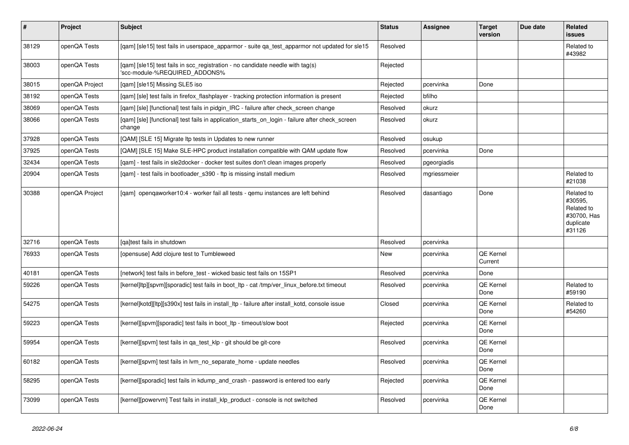| $\vert$ # | <b>Project</b> | <b>Subject</b>                                                                                                  | <b>Status</b> | <b>Assignee</b> | <b>Target</b><br>version | Due date | Related<br><b>issues</b>                                                  |
|-----------|----------------|-----------------------------------------------------------------------------------------------------------------|---------------|-----------------|--------------------------|----------|---------------------------------------------------------------------------|
| 38129     | openQA Tests   | [gam] [sle15] test fails in userspace apparmor - suite ga test apparmor not updated for sle15                   | Resolved      |                 |                          |          | Related to<br>#43982                                                      |
| 38003     | openQA Tests   | [gam] [sle15] test fails in scc registration - no candidate needle with tag(s)<br>'scc-module-%REQUIRED_ADDONS% | Rejected      |                 |                          |          |                                                                           |
| 38015     | openQA Project | [qam] [sle15] Missing SLE5 iso                                                                                  | Rejected      | pcervinka       | Done                     |          |                                                                           |
| 38192     | openQA Tests   | [qam] [sle] test fails in firefox_flashplayer - tracking protection information is present                      | Rejected      | bfilho          |                          |          |                                                                           |
| 38069     | openQA Tests   | [gam] [sle] [functional] test fails in pidgin IRC - failure after check screen change                           | Resolved      | okurz           |                          |          |                                                                           |
| 38066     | openQA Tests   | [gam] [sle] [functional] test fails in application starts on login - failure after check screen<br>change       | Resolved      | okurz           |                          |          |                                                                           |
| 37928     | openQA Tests   | [QAM] [SLE 15] Migrate Itp tests in Updates to new runner                                                       | Resolved      | osukup          |                          |          |                                                                           |
| 37925     | openQA Tests   | [QAM] [SLE 15] Make SLE-HPC product installation compatible with QAM update flow                                | Resolved      | pcervinka       | Done                     |          |                                                                           |
| 32434     | openQA Tests   | [gam] - test fails in sle2docker - docker test suites don't clean images properly                               | Resolved      | pgeorgiadis     |                          |          |                                                                           |
| 20904     | openQA Tests   | [gam] - test fails in bootloader s390 - ftp is missing install medium                                           | Resolved      | mgriessmeier    |                          |          | Related to<br>#21038                                                      |
| 30388     | openQA Project | [gam] opengaworker10:4 - worker fail all tests - gemu instances are left behind                                 | Resolved      | dasantiago      | Done                     |          | Related to<br>#30595,<br>Related to<br>#30700, Has<br>duplicate<br>#31126 |
| 32716     | openQA Tests   | [ga]test fails in shutdown                                                                                      | Resolved      | pcervinka       |                          |          |                                                                           |
| 76933     | openQA Tests   | [opensuse] Add clojure test to Tumbleweed                                                                       | New           | pcervinka       | QE Kernel<br>Current     |          |                                                                           |
| 40181     | openQA Tests   | [network] test fails in before_test - wicked basic test fails on 15SP1                                          | Resolved      | pcervinka       | Done                     |          |                                                                           |
| 59226     | openQA Tests   | [kernel]ltp][spvm][sporadic] test fails in boot ltp - cat /tmp/ver linux before.txt timeout                     | Resolved      | pcervinka       | QE Kernel<br>Done        |          | Related to<br>#59190                                                      |
| 54275     | openQA Tests   | [kernel]kotd][ltp][s390x] test fails in install_ltp - failure after install_kotd, console issue                 | Closed        | pcervinka       | QE Kernel<br>Done        |          | Related to<br>#54260                                                      |
| 59223     | openQA Tests   | [kernel][spvm][sporadic] test fails in boot ltp - timeout/slow boot                                             | Rejected      | pcervinka       | QE Kernel<br>Done        |          |                                                                           |
| 59954     | openQA Tests   | [kernel][spvm] test fails in qa_test_klp - git should be git-core                                               | Resolved      | pcervinka       | QE Kernel<br>Done        |          |                                                                           |
| 60182     | openQA Tests   | [kernel][spvm] test fails in lvm no separate home - update needles                                              | Resolved      | pcervinka       | QE Kernel<br>Done        |          |                                                                           |
| 58295     | openQA Tests   | [kernel][sporadic] test fails in kdump_and_crash - password is entered too early                                | Rejected      | pcervinka       | QE Kernel<br>Done        |          |                                                                           |
| 73099     | openQA Tests   | [kernel][powervm] Test fails in install klp product - console is not switched                                   | Resolved      | pcervinka       | QE Kernel<br>Done        |          |                                                                           |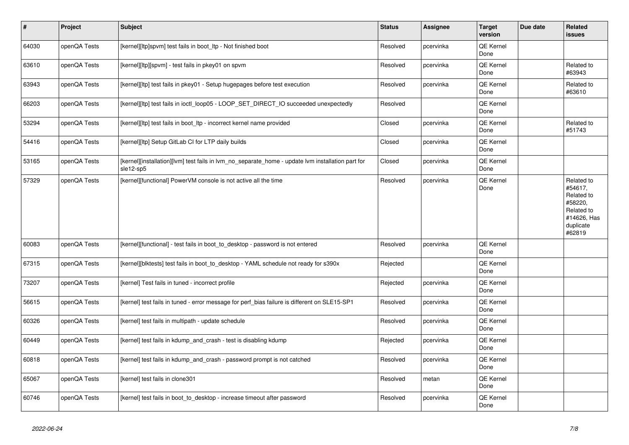| $\vert$ # | Project      | <b>Subject</b>                                                                                                 | <b>Status</b> | Assignee  | <b>Target</b><br>version | Due date | Related<br>issues                                                                                  |
|-----------|--------------|----------------------------------------------------------------------------------------------------------------|---------------|-----------|--------------------------|----------|----------------------------------------------------------------------------------------------------|
| 64030     | openQA Tests | [kernel][ltp]spvm] test fails in boot_ltp - Not finished boot                                                  | Resolved      | pcervinka | QE Kernel<br>Done        |          |                                                                                                    |
| 63610     | openQA Tests | [kernel][ltp][spvm] - test fails in pkey01 on spvm                                                             | Resolved      | pcervinka | QE Kernel<br>Done        |          | Related to<br>#63943                                                                               |
| 63943     | openQA Tests | [kernel][ltp] test fails in pkey01 - Setup hugepages before test execution                                     | Resolved      | pcervinka | QE Kernel<br>Done        |          | Related to<br>#63610                                                                               |
| 66203     | openQA Tests | [kernel][ltp] test fails in ioctl_loop05 - LOOP_SET_DIRECT_IO succeeded unexpectedly                           | Resolved      |           | QE Kernel<br>Done        |          |                                                                                                    |
| 53294     | openQA Tests | [kernel][ltp] test fails in boot_ltp - incorrect kernel name provided                                          | Closed        | pcervinka | QE Kernel<br>Done        |          | Related to<br>#51743                                                                               |
| 54416     | openQA Tests | [kernel][ltp] Setup GitLab CI for LTP daily builds                                                             | Closed        | pcervinka | QE Kernel<br>Done        |          |                                                                                                    |
| 53165     | openQA Tests | [kernel][installation][lvm] test fails in lvm_no_separate_home - update lvm installation part for<br>sle12-sp5 | Closed        | pcervinka | QE Kernel<br>Done        |          |                                                                                                    |
| 57329     | openQA Tests | [kernel][functional] PowerVM console is not active all the time                                                | Resolved      | pcervinka | QE Kernel<br>Done        |          | Related to<br>#54617,<br>Related to<br>#58220,<br>Related to<br>#14626, Has<br>duplicate<br>#62819 |
| 60083     | openQA Tests | [kernel][functional] - test fails in boot_to_desktop - password is not entered                                 | Resolved      | pcervinka | <b>QE Kernel</b><br>Done |          |                                                                                                    |
| 67315     | openQA Tests | [kernel][blktests] test fails in boot_to_desktop - YAML schedule not ready for s390x                           | Rejected      |           | QE Kernel<br>Done        |          |                                                                                                    |
| 73207     | openQA Tests | [kernel] Test fails in tuned - incorrect profile                                                               | Rejected      | pcervinka | <b>QE Kernel</b><br>Done |          |                                                                                                    |
| 56615     | openQA Tests | [kernel] test fails in tuned - error message for perf_bias failure is different on SLE15-SP1                   | Resolved      | pcervinka | QE Kernel<br>Done        |          |                                                                                                    |
| 60326     | openQA Tests | [kernel] test fails in multipath - update schedule                                                             | Resolved      | pcervinka | QE Kernel<br>Done        |          |                                                                                                    |
| 60449     | openQA Tests | [kernel] test fails in kdump_and_crash - test is disabling kdump                                               | Rejected      | pcervinka | QE Kernel<br>Done        |          |                                                                                                    |
| 60818     | openQA Tests | [kernel] test fails in kdump_and_crash - password prompt is not catched                                        | Resolved      | pcervinka | QE Kernel<br>Done        |          |                                                                                                    |
| 65067     | openQA Tests | [kernel] test fails in clone301                                                                                | Resolved      | metan     | QE Kernel<br>Done        |          |                                                                                                    |
| 60746     | openQA Tests | [kernel] test fails in boot to desktop - increase timeout after password                                       | Resolved      | pcervinka | QE Kernel<br>Done        |          |                                                                                                    |